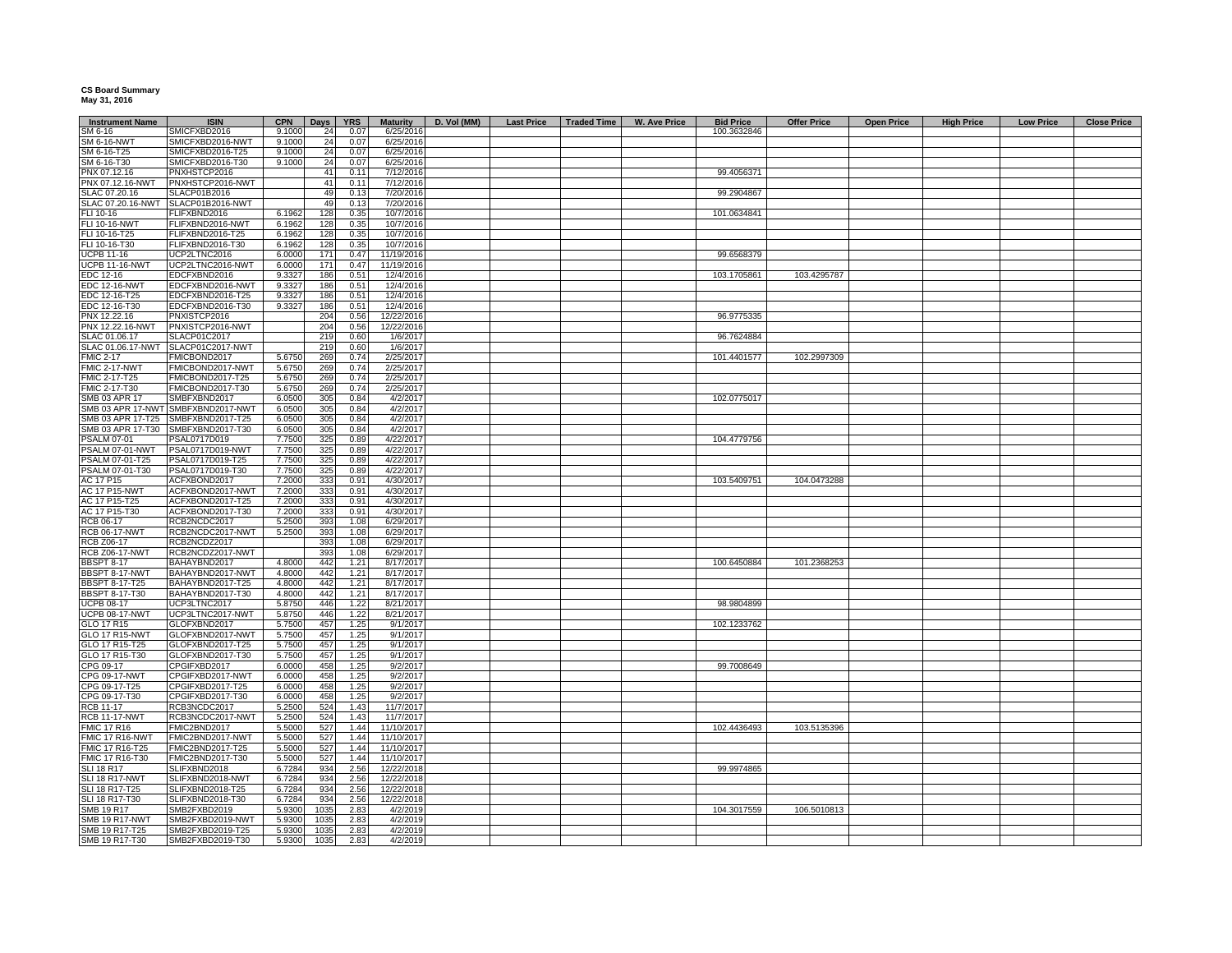## **CS Board Summary May 31, 2016**

| <b>Instrument Name</b>           | <b>ISIN</b>                        | <b>CPN</b> | Days | <b>YRS</b> | <b>Maturity</b> | D. Vol (MM) | <b>Last Price</b> | <b>Traded Time</b> | W. Ave Price | <b>Bid Price</b> | <b>Offer Price</b> | <b>Open Price</b> | <b>High Price</b> | <b>Low Price</b> | <b>Close Price</b> |
|----------------------------------|------------------------------------|------------|------|------------|-----------------|-------------|-------------------|--------------------|--------------|------------------|--------------------|-------------------|-------------------|------------------|--------------------|
| SM 6-16                          | SMICFXBD2016                       | 9.1000     | 24   | 0.07       | 6/25/2016       |             |                   |                    |              | 100.3632846      |                    |                   |                   |                  |                    |
| <b>SM 6-16-NWT</b>               | SMICFXBD2016-NWT                   | 9.1000     | 24   | 0.07       | 6/25/2016       |             |                   |                    |              |                  |                    |                   |                   |                  |                    |
| SM 6-16-T25                      | SMICFXBD2016-T25                   | 9.1000     | 24   | 0.07       | 6/25/2016       |             |                   |                    |              |                  |                    |                   |                   |                  |                    |
| SM 6-16-T30                      | SMICFXBD2016-T30                   | 9.1000     | 24   | 0.07       | 6/25/2016       |             |                   |                    |              |                  |                    |                   |                   |                  |                    |
| PNX 07.12.16                     | PNXHSTCP2016                       |            | 41   | 0.11       | 7/12/2016       |             |                   |                    |              | 99.405637        |                    |                   |                   |                  |                    |
| PNX 07.12.16-NWT                 | PNXHSTCP2016-NWT                   |            | 41   | 0.11       | 7/12/2016       |             |                   |                    |              |                  |                    |                   |                   |                  |                    |
| SLAC 07.20.16                    | SLACP01B2016                       |            | 49   | 0.13       | 7/20/2016       |             |                   |                    |              | 99.2904867       |                    |                   |                   |                  |                    |
|                                  | SLACP01B2016-NWT                   |            | 49   | 0.13       | 7/20/2016       |             |                   |                    |              |                  |                    |                   |                   |                  |                    |
| SLAC 07.20.16-NWT                |                                    |            |      |            |                 |             |                   |                    |              |                  |                    |                   |                   |                  |                    |
| FLI 10-16                        | FLIFXBND2016                       | 6.1962     | 128  | 0.35       | 10/7/2016       |             |                   |                    |              | 101.0634841      |                    |                   |                   |                  |                    |
| FLI 10-16-NWT                    | FLIFXBND2016-NWT                   | 6.1962     | 128  | 0.35       | 10/7/2016       |             |                   |                    |              |                  |                    |                   |                   |                  |                    |
| FLI 10-16-T25                    | FLIFXBND2016-T25                   | 6.1962     | 128  | 0.35       | 10/7/2016       |             |                   |                    |              |                  |                    |                   |                   |                  |                    |
| FLI 10-16-T30                    | FLIFXBND2016-T30                   | 6.1962     | 128  | 0.35       | 10/7/2016       |             |                   |                    |              |                  |                    |                   |                   |                  |                    |
| <b>UCPB 11-16</b>                | UCP2LTNC2016                       | 6,0000     | 171  | 0.47       | 11/19/2016      |             |                   |                    |              | 99.6568379       |                    |                   |                   |                  |                    |
| <b>JCPB 11-16-NWT</b>            | UCP2LTNC2016-NWT                   | 6.0000     | 171  | 0.47       | 11/19/2016      |             |                   |                    |              |                  |                    |                   |                   |                  |                    |
| EDC 12-16                        | EDCFXBND2016                       | 9.3327     | 186  | 0.51       | 12/4/2016       |             |                   |                    |              | 103.1705861      | 103.4295787        |                   |                   |                  |                    |
| <b>EDC 12-16-NWT</b>             | EDCFXBND2016-NWT                   | 9.3327     | 186  | 0.51       | 12/4/2016       |             |                   |                    |              |                  |                    |                   |                   |                  |                    |
| EDC 12-16-T25                    | EDCFXBND2016-T25                   | 9.3327     | 186  | 0.51       | 12/4/2016       |             |                   |                    |              |                  |                    |                   |                   |                  |                    |
| EDC 12-16-T30                    | EDCFXBND2016-T30                   | 9.3327     | 186  | 0.51       | 12/4/2016       |             |                   |                    |              |                  |                    |                   |                   |                  |                    |
| PNX 12.22.16                     | PNXISTCP2016                       |            | 204  | 0.56       | 12/22/2016      |             |                   |                    |              | 96.9775335       |                    |                   |                   |                  |                    |
| PNX 12.22.16-NWT                 | PNXISTCP2016-NWT                   |            | 204  | 0.56       | 12/22/2016      |             |                   |                    |              |                  |                    |                   |                   |                  |                    |
| SLAC 01.06.17                    | SLACP01C2017                       |            | 219  | 0.60       | 1/6/2017        |             |                   |                    |              | 96.7624884       |                    |                   |                   |                  |                    |
|                                  | SLACP01C2017-NWT                   |            |      |            |                 |             |                   |                    |              |                  |                    |                   |                   |                  |                    |
| SLAC 01.06.17-NWT                |                                    |            | 219  | 0.60       | 1/6/2017        |             |                   |                    |              |                  |                    |                   |                   |                  |                    |
| <b>FMIC 2-17</b>                 | FMICBOND2017                       | 5.6750     | 269  | 0.74       | 2/25/2017       |             |                   |                    |              | 101.4401577      | 102.2997309        |                   |                   |                  |                    |
| <b>FMIC 2-17-NWT</b>             | FMICBOND2017-NWT                   | 5.6750     | 269  | 0.74       | 2/25/2017       |             |                   |                    |              |                  |                    |                   |                   |                  |                    |
| FMIC 2-17-T25                    | FMICBOND2017-T25                   | 5.6750     | 269  | 0.74       | 2/25/2017       |             |                   |                    |              |                  |                    |                   |                   |                  |                    |
| <b>FMIC 2-17-T30</b>             | FMICBOND2017-T30                   | 5.6750     | 269  | 0.74       | 2/25/2017       |             |                   |                    |              |                  |                    |                   |                   |                  |                    |
| SMB 03 APR 17                    | SMBFXBND2017                       | 6.0500     | 305  | 0.84       | 4/2/2017        |             |                   |                    |              | 102.0775017      |                    |                   |                   |                  |                    |
|                                  | SMB 03 APR 17-NWT SMBFXBND2017-NWT | 6.0500     | 305  | 0.84       | 4/2/2017        |             |                   |                    |              |                  |                    |                   |                   |                  |                    |
| SMB 03 APR 17-T25                | SMBFXBND2017-T25                   | 6.0500     | 305  | 0.84       | 4/2/2017        |             |                   |                    |              |                  |                    |                   |                   |                  |                    |
| SMB 03 APR 17-T30                | SMBFXBND2017-T30                   | 6.0500     | 305  | 0.84       | 4/2/2017        |             |                   |                    |              |                  |                    |                   |                   |                  |                    |
| <b>PSALM 07-01</b>               | PSAL0717D019                       | 7.7500     | 325  | 0.89       | 4/22/2017       |             |                   |                    |              | 104.4779756      |                    |                   |                   |                  |                    |
| PSALM 07-01-NWT                  | PSAL0717D019-NWT                   | 7.7500     | 325  | 0.89       | 4/22/2017       |             |                   |                    |              |                  |                    |                   |                   |                  |                    |
| PSALM 07-01-T25                  | PSAL0717D019-T25                   | 7.7500     | 325  | 0.89       | 4/22/2017       |             |                   |                    |              |                  |                    |                   |                   |                  |                    |
| PSALM 07-01-T30                  | PSAL0717D019-T30                   | 7.7500     | 325  | 0.89       | 4/22/2017       |             |                   |                    |              |                  |                    |                   |                   |                  |                    |
| AC 17 P15                        | ACFXBOND2017                       | 7.2000     | 333  | 0.91       | 4/30/2017       |             |                   |                    |              | 103.5409751      | 104.0473288        |                   |                   |                  |                    |
|                                  |                                    |            |      |            |                 |             |                   |                    |              |                  |                    |                   |                   |                  |                    |
| <b>AC 17 P15-NWT</b>             | ACFXBOND2017-NWT                   | 7.2000     | 333  | 0.91       | 4/30/2017       |             |                   |                    |              |                  |                    |                   |                   |                  |                    |
| AC 17 P15-T25                    | ACFXBOND2017-T25                   | 7.2000     | 333  | 0.91       | 4/30/2017       |             |                   |                    |              |                  |                    |                   |                   |                  |                    |
| AC 17 P15-T30                    | ACFXBOND2017-T30                   | 7.2000     | 333  | 0.91       | 4/30/2017       |             |                   |                    |              |                  |                    |                   |                   |                  |                    |
| RCB 06-17                        | RCB2NCDC2017                       | 5.2500     | 393  | 1.08       | 6/29/2017       |             |                   |                    |              |                  |                    |                   |                   |                  |                    |
| <b>RCB 06-17-NWT</b>             | RCB2NCDC2017-NWT                   | 5.2500     | 393  | 1.08       | 6/29/2017       |             |                   |                    |              |                  |                    |                   |                   |                  |                    |
| <b>RCB Z06-17</b>                | RCB2NCDZ2017                       |            | 393  | 1.08       | 6/29/2017       |             |                   |                    |              |                  |                    |                   |                   |                  |                    |
| <b>RCB Z06-17-NWT</b>            | RCB2NCDZ2017-NWT                   |            | 393  | 1.08       | 6/29/2017       |             |                   |                    |              |                  |                    |                   |                   |                  |                    |
| <b>BBSPT 8-17</b>                | BAHAYBND2017                       | 4.8000     | 442  | 1.21       | 8/17/2017       |             |                   |                    |              | 100.6450884      | 101.2368253        |                   |                   |                  |                    |
| BBSPT 8-17-NWT                   | BAHAYBND2017-NWT                   | 4.8000     | 442  | 1.21       | 8/17/2017       |             |                   |                    |              |                  |                    |                   |                   |                  |                    |
| <b>BBSPT 8-17-T25</b>            | BAHAYBND2017-T25                   | 4.8000     | 442  | 1.21       | 8/17/2017       |             |                   |                    |              |                  |                    |                   |                   |                  |                    |
| <b>BBSPT 8-17-T30</b>            | BAHAYBND2017-T30                   | 4.8000     | 442  | 1.21       | 8/17/2017       |             |                   |                    |              |                  |                    |                   |                   |                  |                    |
| <b>UCPB 08-17</b>                | UCP3LTNC2017                       | 5.875      | 446  | 1.22       | 8/21/2017       |             |                   |                    |              | 98.9804899       |                    |                   |                   |                  |                    |
| <b>UCPB 08-17-NWT</b>            | UCP3LTNC2017-NWT                   | 5.8750     | 446  | 1.22       | 8/21/2017       |             |                   |                    |              |                  |                    |                   |                   |                  |                    |
| GLO 17 R15                       | GLOFXBND2017                       | 5.7500     | 457  | 1.25       | 9/1/2017        |             |                   |                    |              | 102.1233762      |                    |                   |                   |                  |                    |
|                                  |                                    |            |      | 1.25       | 9/1/2017        |             |                   |                    |              |                  |                    |                   |                   |                  |                    |
| <b>GLO 17 R15-NWT</b>            | GLOFXBND2017-NWT                   | 5.7500     | 457  |            |                 |             |                   |                    |              |                  |                    |                   |                   |                  |                    |
| GLO 17 R15-T25                   | GLOFXBND2017-T25                   | 5.7500     | 457  | 1.25       | 9/1/2017        |             |                   |                    |              |                  |                    |                   |                   |                  |                    |
| GLO 17 R15-T30                   | GLOFXBND2017-T30                   | 5.7500     | 457  | 1.25       | 9/1/2017        |             |                   |                    |              |                  |                    |                   |                   |                  |                    |
| CPG 09-17                        | CPGIFXBD2017                       | 6.0000     | 458  | 1.25       | 9/2/2017        |             |                   |                    |              | 99.7008649       |                    |                   |                   |                  |                    |
| CPG 09-17-NWT                    | CPGIFXBD2017-NWT                   | 6.0000     | 458  | 1.25       | 9/2/2017        |             |                   |                    |              |                  |                    |                   |                   |                  |                    |
| CPG 09-17-T25                    | CPGIFXBD2017-T25                   | 6.0000     | 458  | 1.25       | 9/2/2017        |             |                   |                    |              |                  |                    |                   |                   |                  |                    |
| CPG 09-17-T30                    | CPGIFXBD2017-T30                   | 6.0000     | 458  | 1.25       | 9/2/2017        |             |                   |                    |              |                  |                    |                   |                   |                  |                    |
| RCB 11-17                        | RCB3NCDC2017                       | 5.250      | 524  | 1.43       | 11/7/2017       |             |                   |                    |              |                  |                    |                   |                   |                  |                    |
| <b>RCB 11-17-NWT</b>             | RCB3NCDC2017-NWT                   | 5.250      | 524  | 1.43       | 11/7/2017       |             |                   |                    |              |                  |                    |                   |                   |                  |                    |
| <b>FMIC 17 R16</b>               | FMIC2BND2017                       | 5.5000     | 527  | 1.44       | 11/10/2017      |             |                   |                    |              | 102.4436493      | 103.5135396        |                   |                   |                  |                    |
| FMIC 17 R16-NWT                  | FMIC2BND2017-NWT                   | 5.5000     | 527  | 1.44       | 11/10/2017      |             |                   |                    |              |                  |                    |                   |                   |                  |                    |
| FMIC 17 R16-T25                  | FMIC2BND2017-T25                   | 5.5000     | 527  | 1.44       | 11/10/2017      |             |                   |                    |              |                  |                    |                   |                   |                  |                    |
| FMIC 17 R16-T30                  | FMIC2BND2017-T30                   | 5.500      | 527  | 1.44       | 11/10/2017      |             |                   |                    |              |                  |                    |                   |                   |                  |                    |
| <b>SLI 18 R17</b>                | SLIFXBND2018                       | 6.7284     | 934  | 2.56       | 12/22/2018      |             |                   |                    |              | 99.9974865       |                    |                   |                   |                  |                    |
| SLI 18 R17-NWT                   | SLIFXBND2018-NWT                   | 6.7284     | 934  | 2.56       | 12/22/2018      |             |                   |                    |              |                  |                    |                   |                   |                  |                    |
| SLI 18 R17-T25                   | SLIFXBND2018-T25                   | 6.7284     | 934  | 2.56       | 12/22/2018      |             |                   |                    |              |                  |                    |                   |                   |                  |                    |
|                                  |                                    |            |      |            |                 |             |                   |                    |              |                  |                    |                   |                   |                  |                    |
| SLI 18 R17-T30                   | SLIFXBND2018-T30                   | 6.7284     | 934  | 2.56       | 12/22/2018      |             |                   |                    |              |                  |                    |                   |                   |                  |                    |
| SMB 19 R17                       | SMB2FXBD2019                       | 5.9300     | 1035 | 2.83       | 4/2/2019        |             |                   |                    |              | 104.3017559      | 106.5010813        |                   |                   |                  |                    |
| SMB 19 R17-NWT                   | SMB2FXBD2019-NWT                   | 5.9300     | 1035 | 2.83       | 4/2/2019        |             |                   |                    |              |                  |                    |                   |                   |                  |                    |
| SMB 19 R17-T25<br>SMB 19 R17-T30 | SMB2FXBD2019-T25                   | 5.9300     | 1035 | 2.83       | 4/2/2019        |             |                   |                    |              |                  |                    |                   |                   |                  |                    |
|                                  | SMB2FXBD2019-T30                   | 5.9300     | 1035 | 2.83       | 4/2/2019        |             |                   |                    |              |                  |                    |                   |                   |                  |                    |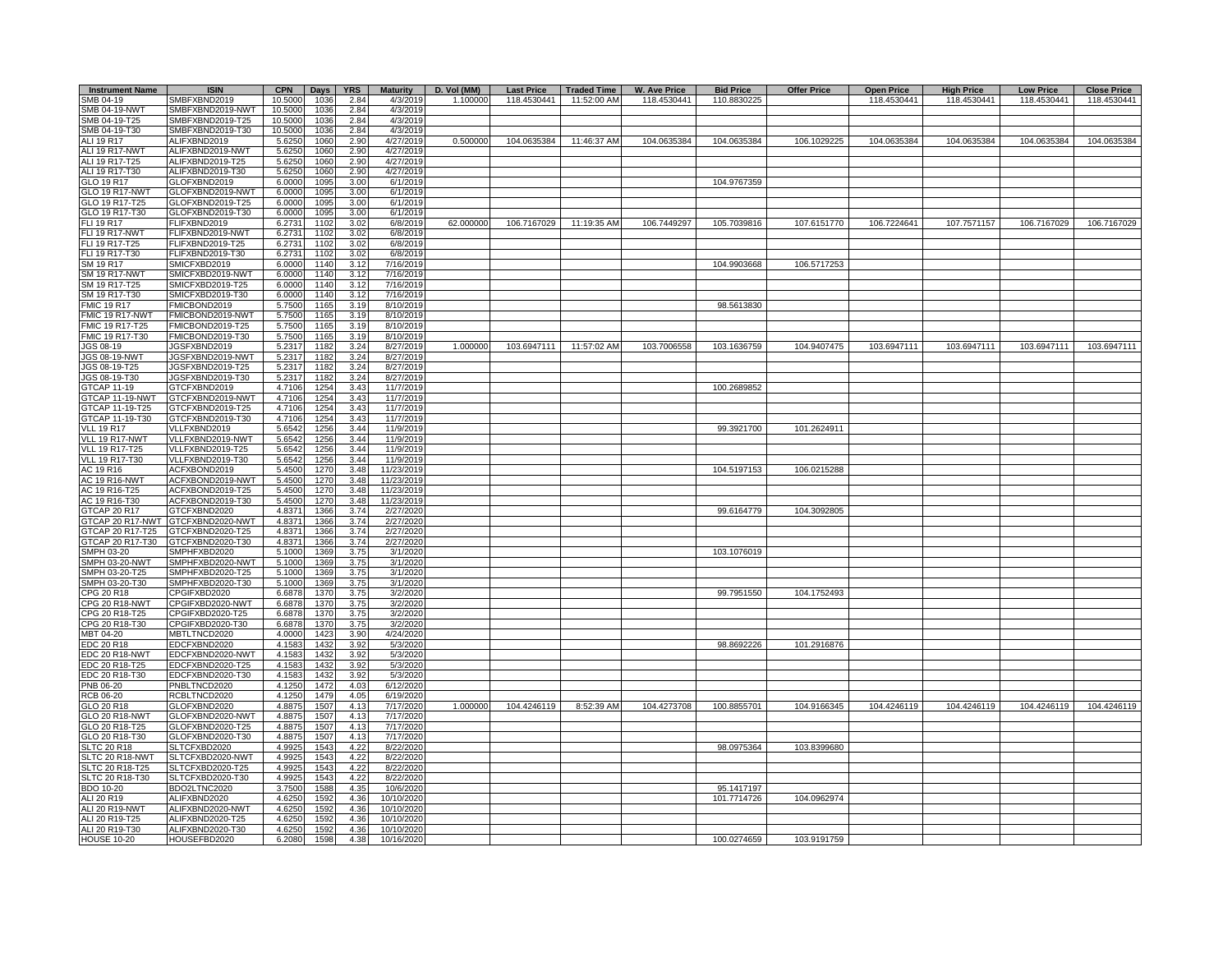| <b>Instrument Name</b>                | <b>ISIN</b>                          | <b>CPN</b>         | Days         | <b>YRS</b>   | <b>Maturity</b>          | D. Vol (MM) | <b>Last Price</b> | <b>Traded Time</b> | <b>W. Ave Price</b> | <b>Bid Price</b> | <b>Offer Price</b> | <b>Open Price</b> | <b>High Price</b> | <b>Low Price</b> | <b>Close Price</b> |
|---------------------------------------|--------------------------------------|--------------------|--------------|--------------|--------------------------|-------------|-------------------|--------------------|---------------------|------------------|--------------------|-------------------|-------------------|------------------|--------------------|
| SMB 04-19                             | SMBFXBND2019                         | 10.5000            | 10.36        | 2.84         | 4/3/2019                 | 1.100000    | 118.4530441       | 11:52:00 AM        | 118.4530441         | 110.8830225      |                    | 118.4530441       | 118.4530441       | 118.4530441      | 118.4530441        |
| <b>SMB 04-19-NWT</b>                  | SMBFXBND2019-NWT                     | 10.5000            | 1036         | 2.84         | 4/3/2019                 |             |                   |                    |                     |                  |                    |                   |                   |                  |                    |
| SMB 04-19-T25<br>SMB 04-19-T30        | SMBFXBND2019-T25<br>SMBFXBND2019-T30 | 10.5000<br>10.5000 | 1036<br>1036 | 2.84<br>2.84 | 4/3/2019<br>4/3/2019     |             |                   |                    |                     |                  |                    |                   |                   |                  |                    |
| <b>ALI 19 R17</b>                     | ALIFXBND2019                         | 5.625              | 1060         | 2.90         | 4/27/2019                | 0.500000    | 104.0635384       | 11:46:37 AM        | 104.0635384         | 104.0635384      | 106.1029225        | 104.0635384       | 104.0635384       | 104.0635384      | 104.0635384        |
| ALI 19 R17-NWT                        | ALIFXBND2019-NWT                     | 5.625              | 1060         | 2.90         | 4/27/2019                |             |                   |                    |                     |                  |                    |                   |                   |                  |                    |
| ALI 19 R17-T25                        | ALIFXBND2019-T25                     | 5.6250             | 1060         | 2.90         | 4/27/2019                |             |                   |                    |                     |                  |                    |                   |                   |                  |                    |
| ALI 19 R17-T30                        | ALIFXBND2019-T30                     | 5.6250             | 1060         | 2.90         | 4/27/2019                |             |                   |                    |                     |                  |                    |                   |                   |                  |                    |
| GLO 19 R17                            | GLOFXBND2019                         | 6.0000             | 1095         | 3.00         | 6/1/2019                 |             |                   |                    |                     | 104.9767359      |                    |                   |                   |                  |                    |
| <b>GLO 19 R17-NWT</b>                 | GLOFXBND2019-NWT                     | 6.0000             | 1095         | 3.00         | 6/1/2019                 |             |                   |                    |                     |                  |                    |                   |                   |                  |                    |
| GLO 19 R17-T25<br>GLO 19 R17-T30      | GLOFXBND2019-T25<br>GLOFXBND2019-T30 | 6.0000<br>6.0000   | 109<br>1095  | 3.00<br>3.00 | 6/1/2019<br>6/1/2019     |             |                   |                    |                     |                  |                    |                   |                   |                  |                    |
| <b>FLI 19 R17</b>                     | FLIFXBND2019                         | 6.2731             | 110:         | 3.02         | 6/8/2019                 | 62,000000   | 106.7167029       | 11:19:35 AM        | 106.7449297         | 105.7039816      | 107.6151770        | 106.7224641       | 107.7571157       | 106.7167029      | 106.7167029        |
| FLI 19 R17-NWT                        | FLIFXBND2019-NWT                     | 6.2731             | 110          | 3.02         | 6/8/2019                 |             |                   |                    |                     |                  |                    |                   |                   |                  |                    |
| FLI 19 R17-T25                        | FLIFXBND2019-T25                     | 6.2731             | 110:         | 3.02         | 6/8/2019                 |             |                   |                    |                     |                  |                    |                   |                   |                  |                    |
| FLI 19 R17-T30                        | FLIFXBND2019-T30                     | 6.2731             | 1102         | 3.02         | 6/8/2019                 |             |                   |                    |                     |                  |                    |                   |                   |                  |                    |
| SM 19 R17                             | SMICFXBD2019                         | 6.0000             | 1140         | 3.12         | 7/16/2019                |             |                   |                    |                     | 104.9903668      | 106.5717253        |                   |                   |                  |                    |
| <b>SM 19 R17-NWT</b><br>SM 19 R17-T25 | SMICFXBD2019-NWT<br>SMICFXBD2019-T25 | 6.0000<br>6.0000   | 1140<br>1140 | 3.12<br>3.12 | 7/16/2019<br>7/16/2019   |             |                   |                    |                     |                  |                    |                   |                   |                  |                    |
| SM 19 R17-T30                         | SMICFXBD2019-T30                     | 6.0000             | 1140         | 3.12         | 7/16/2019                |             |                   |                    |                     |                  |                    |                   |                   |                  |                    |
| <b>FMIC 19 R17</b>                    | FMICBOND2019                         | 5.7500             | 1165         | 3.19         | 8/10/2019                |             |                   |                    |                     | 98.5613830       |                    |                   |                   |                  |                    |
| FMIC 19 R17-NWT                       | FMICBOND2019-NWT                     | 5.7500             | 1165         | 3.19         | 8/10/2019                |             |                   |                    |                     |                  |                    |                   |                   |                  |                    |
| FMIC 19 R17-T25                       | FMICBOND2019-T25                     | 5.7500             | 1165         | 3.19         | 8/10/2019                |             |                   |                    |                     |                  |                    |                   |                   |                  |                    |
| FMIC 19 R17-T30                       | FMICBOND2019-T30                     | 5.7500             | 1165         | 3.19         | 8/10/2019                | 1.000000    |                   |                    |                     |                  |                    |                   |                   |                  |                    |
| JGS 08-19<br><b>JGS 08-19-NWT</b>     | JGSFXBND2019<br>JGSFXBND2019-NWT     | 5.2317<br>5.2317   | 1182<br>118  | 3.24<br>3.24 | 8/27/2019<br>8/27/2019   |             | 103.6947111       | 11:57:02 AM        | 103.7006558         | 103.1636759      | 104.9407475        | 103.6947111       | 103.6947111       | 103.6947111      | 103.6947111        |
| JGS 08-19-T25                         | JGSFXBND2019-T25                     | 5.2317             | 118          | 3.24         | 8/27/2019                |             |                   |                    |                     |                  |                    |                   |                   |                  |                    |
| JGS 08-19-T30                         | JGSFXBND2019-T30                     | 5.2317             | 118          | 3.24         | 8/27/2019                |             |                   |                    |                     |                  |                    |                   |                   |                  |                    |
| <b>GTCAP 11-19</b>                    | GTCFXBND2019                         | 4.7106             | $125 -$      | 3.43         | 11/7/2019                |             |                   |                    |                     | 100.2689852      |                    |                   |                   |                  |                    |
| GTCAP 11-19-NWT                       | GTCFXBND2019-NWT                     | 4.7106             | $125 -$      | 3.43         | 11/7/2019                |             |                   |                    |                     |                  |                    |                   |                   |                  |                    |
| GTCAP 11-19-T25                       | GTCFXBND2019-T25                     | 4.7106             | $125 -$      | 3.43         | 11/7/2019                |             |                   |                    |                     |                  |                    |                   |                   |                  |                    |
| GTCAP 11-19-T30<br><b>VLL 19 R17</b>  | 3TCFXBND2019-T30<br>VLLFXBND2019     | 4.7106<br>5.6542   | 1254<br>1256 | 3.43<br>3.44 | 11/7/2019<br>11/9/2019   |             |                   |                    |                     | 99.3921700       | 101.2624911        |                   |                   |                  |                    |
| VLL 19 R17-NWT                        | VLLFXBND2019-NWT                     | 5.6542             | 1256         | 3.44         | 11/9/2019                |             |                   |                    |                     |                  |                    |                   |                   |                  |                    |
| <b>VLL 19 R17-T25</b>                 | VLLFXBND2019-T25                     | 5.6542             | 1256         | 3.44         | 11/9/2019                |             |                   |                    |                     |                  |                    |                   |                   |                  |                    |
| VLL 19 R17-T30                        | VLLFXBND2019-T30                     | 5.6542             | 1256         | 3.44         | 11/9/2019                |             |                   |                    |                     |                  |                    |                   |                   |                  |                    |
| AC 19 R16                             | ACFXBOND2019                         | 5.4500             | 1270         | 3.48         | 11/23/2019               |             |                   |                    |                     | 104.5197153      | 106.0215288        |                   |                   |                  |                    |
| <b>AC 19 R16-NWT</b><br>AC 19 R16-T25 | ACFXBOND2019-NWT<br>ACFXBOND2019-T25 | 5.4500             | 1270         | 3.48         | 11/23/2019               |             |                   |                    |                     |                  |                    |                   |                   |                  |                    |
| AC 19 R16-T30                         | ACFXBOND2019-T30                     | 5.4500<br>5.4500   | 1270<br>1270 | 3.48<br>3.48 | 11/23/2019<br>11/23/2019 |             |                   |                    |                     |                  |                    |                   |                   |                  |                    |
| <b>GTCAP 20 R17</b>                   | GTCFXBND2020                         | 4.8371             | 1366         | 3.74         | 2/27/2020                |             |                   |                    |                     | 99.6164779       | 104.3092805        |                   |                   |                  |                    |
| GTCAP 20 R17-NWT                      | GTCFXBND2020-NWT                     | 4.8371             | 1366         | 3.74         | 2/27/2020                |             |                   |                    |                     |                  |                    |                   |                   |                  |                    |
| GTCAP 20 R17-T25                      | GTCFXBND2020-T25                     | 4.8371             | 1366         | 3.74         | 2/27/2020                |             |                   |                    |                     |                  |                    |                   |                   |                  |                    |
| GTCAP 20 R17-T30                      | GTCFXBND2020-T30                     | 4.8371             | 1366         | 3.74         | 2/27/2020                |             |                   |                    |                     |                  |                    |                   |                   |                  |                    |
| SMPH 03-20                            | SMPHFXBD2020                         | 5.1000             | 1369         | 3.75         | 3/1/2020                 |             |                   |                    |                     | 103.1076019      |                    |                   |                   |                  |                    |
| SMPH 03-20-NWT<br>SMPH 03-20-T25      | SMPHFXBD2020-NWT<br>SMPHFXBD2020-T25 | 5.1000<br>5.1000   | 1369<br>1369 | 3.75<br>3.75 | 3/1/2020<br>3/1/2020     |             |                   |                    |                     |                  |                    |                   |                   |                  |                    |
| SMPH 03-20-T30                        | SMPHFXBD2020-T30                     | 5.1000             | 1369         | 3.75         | 3/1/2020                 |             |                   |                    |                     |                  |                    |                   |                   |                  |                    |
| CPG 20 R18                            | CPGIFXBD2020                         | 6.6878             | 1370         | 3.75         | 3/2/2020                 |             |                   |                    |                     | 99.7951550       | 104.1752493        |                   |                   |                  |                    |
| CPG 20 R18-NWT                        | CPGIFXBD2020-NWT                     | 6.6878             | 1370         | 3.75         | 3/2/2020                 |             |                   |                    |                     |                  |                    |                   |                   |                  |                    |
| CPG 20 R18-T25                        | CPGIFXBD2020-T25                     | 6.6878             | 1370         | 3.75         | 3/2/2020                 |             |                   |                    |                     |                  |                    |                   |                   |                  |                    |
| CPG 20 R18-T30<br>MBT 04-20           | CPGIFXBD2020-T30<br>MBTLTNCD2020     | 6.6878<br>4.0000   | 1370<br>1423 | 3.75         | 3/2/2020<br>4/24/2020    |             |                   |                    |                     |                  |                    |                   |                   |                  |                    |
| EDC 20 R18                            | EDCFXBND2020                         | 4.1583             | 1432         | 3.90<br>3.92 | 5/3/2020                 |             |                   |                    |                     | 98.8692226       | 101.2916876        |                   |                   |                  |                    |
| EDC 20 R18-NWT                        | EDCFXBND2020-NWT                     | 4.1583             | 1432         | 3.92         | 5/3/2020                 |             |                   |                    |                     |                  |                    |                   |                   |                  |                    |
| EDC 20 R18-T25                        | EDCFXBND2020-T25                     | 4.1583             | 1432         | 3.92         | 5/3/2020                 |             |                   |                    |                     |                  |                    |                   |                   |                  |                    |
| EDC 20 R18-T30                        | EDCFXBND2020-T30                     | 4.1583             | 1432         | 3.92         | 5/3/2020                 |             |                   |                    |                     |                  |                    |                   |                   |                  |                    |
| PNB 06-20                             | PNBLTNCD2020                         | 4.1250             | 1472         | 4.03         | 6/12/2020                |             |                   |                    |                     |                  |                    |                   |                   |                  |                    |
| RCB 06-20<br>GLO 20 R18               | RCBLTNCD2020                         | 4.1250<br>4.8875   | 1479<br>1507 | 4.05         | 6/19/2020                | 1.000000    | 104.4246119       | 8:52:39 AM         | 104.4273708         | 100.8855701      | 104.9166345        | 104.4246119       | 104.4246119       | 104.4246119      | 104.4246119        |
| GLO 20 R18-NWT                        | GLOFXBND2020<br>GLOFXBND2020-NWT     | 4.8875             | 1507         | 4.13<br>4.13 | 7/17/2020<br>7/17/2020   |             |                   |                    |                     |                  |                    |                   |                   |                  |                    |
| GLO 20 R18-T25                        | GLOFXBND2020-T25                     | 4.8875             | 1507         | 4.13         | 7/17/2020                |             |                   |                    |                     |                  |                    |                   |                   |                  |                    |
| GLO 20 R18-T30                        | GLOFXBND2020-T30                     | 4.8875             | 1507         | 4.13         | 7/17/2020                |             |                   |                    |                     |                  |                    |                   |                   |                  |                    |
| <b>SLTC 20 R18</b>                    | SLTCFXBD2020                         | 4.9925             | 1543         | 4.22         | 8/22/2020                |             |                   |                    |                     | 98.0975364       | 103.8399680        |                   |                   |                  |                    |
| SLTC 20 R18-NWT                       | SLTCFXBD2020-NWT                     | 4.9925             | 1543         | 4.22         | 8/22/2020                |             |                   |                    |                     |                  |                    |                   |                   |                  |                    |
| SLTC 20 R18-T25<br>SLTC 20 R18-T30    | SLTCFXBD2020-T25<br>SLTCFXBD2020-T30 | 4.9925<br>4.9925   | 1543<br>1543 | 4.22<br>4.22 | 8/22/2020<br>8/22/2020   |             |                   |                    |                     |                  |                    |                   |                   |                  |                    |
| BDO 10-20                             | BDO2LTNC2020                         | 3.7500             | 1588         | 4.35         | 10/6/2020                |             |                   |                    |                     | 95.1417197       |                    |                   |                   |                  |                    |
| ALI 20 R19                            | ALIFXBND2020                         | 4.6250             | 1592         | 4.36         | 10/10/2020               |             |                   |                    |                     | 101.7714726      | 104.0962974        |                   |                   |                  |                    |
| <b>ALI 20 R19-NWT</b>                 | ALIFXBND2020-NWT                     | 4.6250             | 159          | 4.36         | 10/10/2020               |             |                   |                    |                     |                  |                    |                   |                   |                  |                    |
| ALI 20 R19-T25                        | ALIFXBND2020-T25                     | 4.6250             | 1592         | 4.36         | 10/10/2020               |             |                   |                    |                     |                  |                    |                   |                   |                  |                    |
| ALI 20 R19-T30                        | ALIFXBND2020-T30                     | 4.6250             | 1592         | 4.36         | 10/10/2020               |             |                   |                    |                     |                  |                    |                   |                   |                  |                    |
| <b>HOUSE 10-20</b>                    | HOUSEFBD2020                         | 6.2080             | 1598         | 4.38         | 10/16/2020               |             |                   |                    |                     | 100.0274659      | 103.9191759        |                   |                   |                  |                    |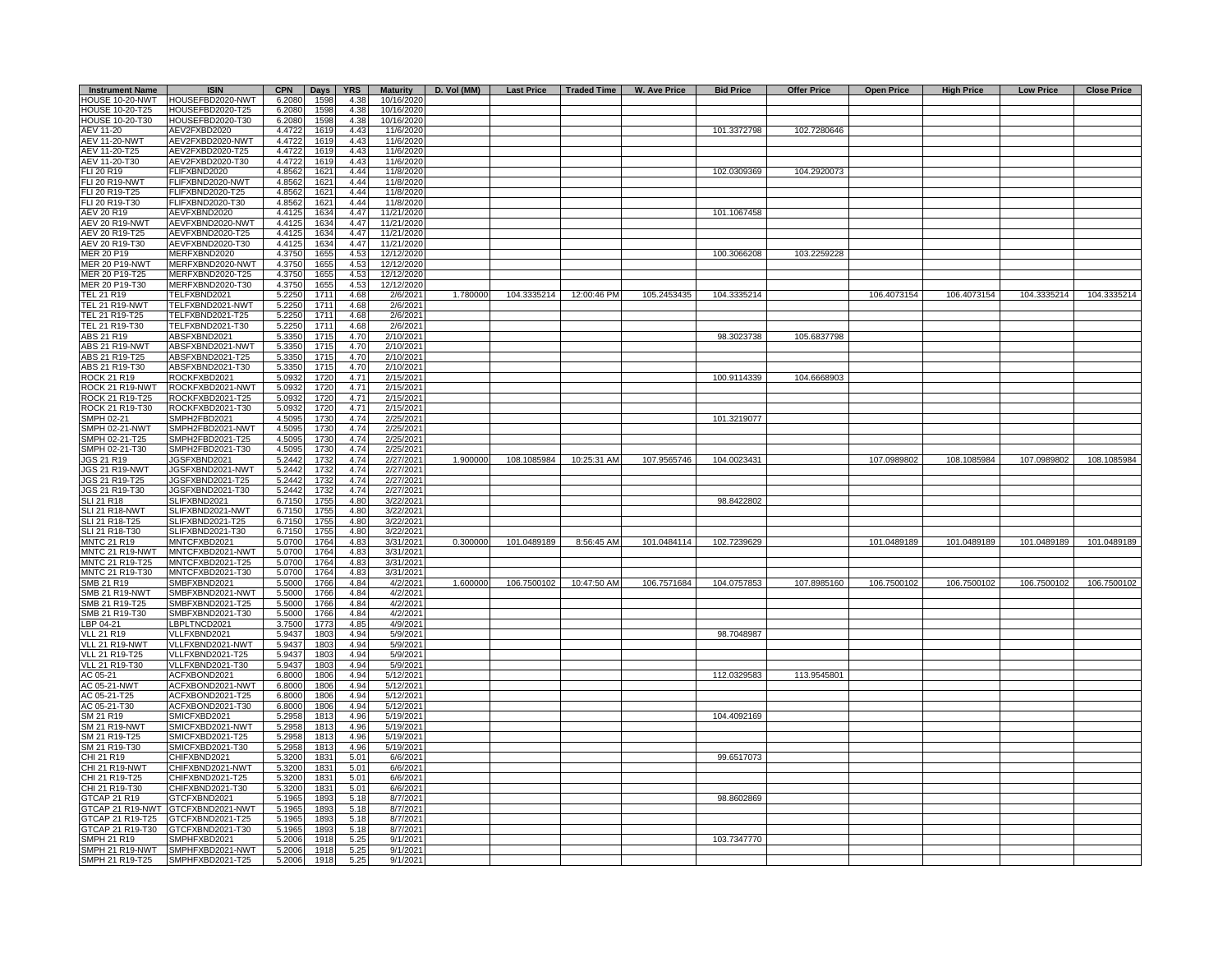| <b>Instrument Name</b>              | <b>ISIN</b>                          | <b>CPN</b>       | <b>Days</b>  | <b>YRS</b>   | <b>Maturity</b>          | D. Vol (MM) |             |             | Last Price   Traded Time   W. Ave Price | <b>Bid Price</b> | <b>Offer Price</b> | <b>Open Price</b> | <b>High Price</b> | <b>Low Price</b> | <b>Close Price</b> |
|-------------------------------------|--------------------------------------|------------------|--------------|--------------|--------------------------|-------------|-------------|-------------|-----------------------------------------|------------------|--------------------|-------------------|-------------------|------------------|--------------------|
| <b>HOUSE 10-20-NWT</b>              | HOUSEFBD2020-NWT                     | 6.2080           | 1598         | 4.38         | 10/16/2020               |             |             |             |                                         |                  |                    |                   |                   |                  |                    |
| HOUSE 10-20-T25                     | HOUSEFBD2020-T25                     | 6.2080           | 1598         | 4.38         | 10/16/2020               |             |             |             |                                         |                  |                    |                   |                   |                  |                    |
| <b>HOUSE 10-20-T30</b><br>AEV 11-20 | HOUSEFBD2020-T30<br>AEV2FXBD2020     | 6.2080<br>4.4722 | 1598<br>1619 | 4.38<br>4.43 | 10/16/2020<br>11/6/2020  |             |             |             |                                         | 101.3372798      | 102.7280646        |                   |                   |                  |                    |
| <b>AEV 11-20-NWT</b>                | AEV2FXBD2020-NWT                     | 4.4722           | 1619         | 4.43         | 11/6/2020                |             |             |             |                                         |                  |                    |                   |                   |                  |                    |
| AEV 11-20-T25                       | AEV2FXBD2020-T25                     | 4.4722           | 1619         | 4.43         | 11/6/2020                |             |             |             |                                         |                  |                    |                   |                   |                  |                    |
| AEV 11-20-T30                       | AEV2FXBD2020-T30                     | 4.4722           | 1619         | 4.43         | 11/6/2020                |             |             |             |                                         |                  |                    |                   |                   |                  |                    |
| FLI 20 R19                          | FLIFXBND2020                         | 4.8562           | 1621         | 4.44         | 11/8/2020                |             |             |             |                                         | 102.0309369      | 104.2920073        |                   |                   |                  |                    |
| <b>FLI 20 R19-NWT</b>               | FLIFXBND2020-NWT                     | 4.8562           | 1621         | 4.44         | 11/8/2020                |             |             |             |                                         |                  |                    |                   |                   |                  |                    |
| FLI 20 R19-T25                      | FLIFXBND2020-T25                     | 4.8562           | 1621         | 4.44         | 11/8/2020                |             |             |             |                                         |                  |                    |                   |                   |                  |                    |
| FLI 20 R19-T30                      | FLIFXBND2020-T30                     | 4.8562           | 1621         | 4.44         | 11/8/2020                |             |             |             |                                         |                  |                    |                   |                   |                  |                    |
| AEV 20 R19<br>AEV 20 R19-NWT        | AEVFXBND2020<br>AEVFXBND2020-NWT     | 4.4125<br>4.4125 | 1634<br>1634 | 4.47<br>4.47 | 11/21/2020<br>11/21/2020 |             |             |             |                                         | 101.1067458      |                    |                   |                   |                  |                    |
| AEV 20 R19-T25                      | AEVFXBND2020-T25                     | 4.4125           | 1634         | 4.47         | 11/21/2020               |             |             |             |                                         |                  |                    |                   |                   |                  |                    |
| AEV 20 R19-T30                      | AEVFXBND2020-T30                     | 4.4125           | 1634         | 4.47         | 11/21/2020               |             |             |             |                                         |                  |                    |                   |                   |                  |                    |
| MER 20 P19                          | MERFXBND2020                         | 4.3750           | 1655         | 4.53         | 12/12/2020               |             |             |             |                                         | 100.3066208      | 103.2259228        |                   |                   |                  |                    |
| <b>MER 20 P19-NWT</b>               | MERFXBND2020-NWT                     | 4.3750           | 1655         | 4.53         | 12/12/2020               |             |             |             |                                         |                  |                    |                   |                   |                  |                    |
| MER 20 P19-T25                      | MERFXBND2020-T25                     | 4.3750           | 1655         | 4.53         | 12/12/2020               |             |             |             |                                         |                  |                    |                   |                   |                  |                    |
| MER 20 P19-T30                      | MERFXBND2020-T30                     | 4.3750           | 1655         | 4.53         | 12/12/2020               |             |             |             |                                         |                  |                    |                   |                   |                  |                    |
| <b>FEL 21 R19</b>                   | TELFXBND2021                         | 5.2250           | 1711         | 4.68         | 2/6/2021                 | 1.780000    | 104.3335214 | 12:00:46 PM | 105.2453435                             | 104.3335214      |                    | 106.4073154       | 106.4073154       | 104.3335214      | 104.3335214        |
| FEL 21 R19-NWT<br>TEL 21 R19-T25    | TELFXBND2021-NWT<br>TELFXBND2021-T25 | 5.2250<br>5.2250 | 1711<br>1711 | 4.68<br>4.68 | 2/6/2021<br>2/6/2021     |             |             |             |                                         |                  |                    |                   |                   |                  |                    |
| TEL 21 R19-T30                      | TELFXBND2021-T30                     | 5.2250           | 1711         | 4.68         | 2/6/2021                 |             |             |             |                                         |                  |                    |                   |                   |                  |                    |
| <b>ABS 21 R19</b>                   | ABSFXBND2021                         | 5.3350           | 1715         | 4.70         | 2/10/2021                |             |             |             |                                         | 98.3023738       | 105.6837798        |                   |                   |                  |                    |
| ABS 21 R19-NWT                      | ABSFXBND2021-NWT                     | 5.3350           | 1715         | 4.70         | 2/10/2021                |             |             |             |                                         |                  |                    |                   |                   |                  |                    |
| ABS 21 R19-T25                      | ABSFXBND2021-T25                     | 5.3350           | 1715         | 4.70         | 2/10/2021                |             |             |             |                                         |                  |                    |                   |                   |                  |                    |
| ABS 21 R19-T30                      | ABSFXBND2021-T30                     | 5.3350           | 1715         | 4.70         | 2/10/2021                |             |             |             |                                         |                  |                    |                   |                   |                  |                    |
| ROCK 21 R19                         | ROCKFXBD2021                         | 5.0932           | 1720         | 4.71         | 2/15/2021                |             |             |             |                                         | 100.9114339      | 104.6668903        |                   |                   |                  |                    |
| ROCK 21 R19-NWT                     | ROCKFXBD2021-NWT                     | 5.0932           | 1720         | 4.71         | 2/15/2021                |             |             |             |                                         |                  |                    |                   |                   |                  |                    |
| ROCK 21 R19-T25                     | ROCKFXBD2021-T25                     | 5.0932           | 1720         | 4.71         | 2/15/2021                |             |             |             |                                         |                  |                    |                   |                   |                  |                    |
| ROCK 21 R19-T30<br>SMPH 02-21       | ROCKFXBD2021-T30<br>SMPH2FBD2021     | 5.0932<br>4.5095 | 1720<br>1730 | 4.71<br>4.74 | 2/15/2021<br>2/25/2021   |             |             |             |                                         | 101.3219077      |                    |                   |                   |                  |                    |
| SMPH 02-21-NWT                      | MPH2FBD2021-NWT                      | 4.5095           | 1730         | 4.74         | 2/25/2021                |             |             |             |                                         |                  |                    |                   |                   |                  |                    |
| SMPH 02-21-T25                      | MPH2FBD2021-T25                      | 4.5095           | 1730         | 4.74         | 2/25/2021                |             |             |             |                                         |                  |                    |                   |                   |                  |                    |
| SMPH 02-21-T30                      | SMPH2FBD2021-T30                     | 4.5095           | 1730         | 4.74         | 2/25/2021                |             |             |             |                                         |                  |                    |                   |                   |                  |                    |
| JGS 21 R19                          | JGSFXBND2021                         | 5.2442           | 1732         | 4.74         | 2/27/2021                | 1.900000    | 108.1085984 | 10:25:31 AM | 107.9565746                             | 104.0023431      |                    | 107.0989802       | 108.1085984       | 107.0989802      | 108.1085984        |
| JGS 21 R19-NWT                      | JGSFXBND2021-NWT                     | 5.2442           | 1732         | 4.74         | 2/27/2021                |             |             |             |                                         |                  |                    |                   |                   |                  |                    |
| JGS 21 R19-T25                      | JGSFXBND2021-T25                     | 5.2442           | 1732         | 4.74         | 2/27/2021                |             |             |             |                                         |                  |                    |                   |                   |                  |                    |
| JGS 21 R19-T30                      | JGSFXBND2021-T30                     | 5.2442           | 1732         | 4.74         | 2/27/2021                |             |             |             |                                         |                  |                    |                   |                   |                  |                    |
| SLI 21 R18<br><b>SLI 21 R18-NWT</b> | SLIFXBND2021<br>SLIFXBND2021-NWT     | 6.7150<br>6.7150 | 1755<br>1755 | 4.80<br>4.80 | 3/22/2021<br>3/22/2021   |             |             |             |                                         | 98.8422802       |                    |                   |                   |                  |                    |
| SLI 21 R18-T25                      | SLIFXBND2021-T25                     | 6.7150           | 1755         | 4.80         | 3/22/2021                |             |             |             |                                         |                  |                    |                   |                   |                  |                    |
| SLI 21 R18-T30                      | SLIFXBND2021-T30                     | 6.7150           | 1755         | 4.80         | 3/22/2021                |             |             |             |                                         |                  |                    |                   |                   |                  |                    |
| <b>MNTC 21 R19</b>                  | MNTCFXBD2021                         | 5.070            | 1764         | 4.83         | 3/31/2021                | 0.300000    | 101.0489189 | 8:56:45 AM  | 101.0484114                             | 102.7239629      |                    | 101.0489189       | 101.0489189       | 101.0489189      | 101.0489189        |
| MNTC 21 R19-NWT                     | MNTCFXBD2021-NWT                     | 5.0700           | 1764         | 4.83         | 3/31/2021                |             |             |             |                                         |                  |                    |                   |                   |                  |                    |
| MNTC 21 R19-T25                     | MNTCFXBD2021-T25                     | 5.0700           | 1764         | 4.83         | 3/31/2021                |             |             |             |                                         |                  |                    |                   |                   |                  |                    |
| MNTC 21 R19-T30                     | MNTCFXBD2021-T30                     | 5.0700           | 1764         | 4.83         | 3/31/2021                |             |             |             |                                         |                  |                    |                   |                   |                  |                    |
| SMB 21 R19                          | SMBFXBND2021                         | 5.5000           | 1766         | 4.84         | 4/2/2021                 | 1.600000    | 106.7500102 | 10:47:50 AM | 106.7571684                             | 104.0757853      | 107.8985160        | 106.7500102       | 106.7500102       | 106.7500102      | 106.7500102        |
| SMB 21 R19-NWT<br>SMB 21 R19-T25    | SMBFXBND2021-NWT<br>SMBFXBND2021-T25 | 5.5000<br>5.500  | 1766<br>1766 | 4.84<br>4.84 | 4/2/2021<br>4/2/2021     |             |             |             |                                         |                  |                    |                   |                   |                  |                    |
| SMB 21 R19-T30                      | SMBFXBND2021-T30                     | 5.5000           | 1766         | 4.84         | 4/2/2021                 |             |             |             |                                         |                  |                    |                   |                   |                  |                    |
| BP 04-21                            | LBPLTNCD2021                         | 3.7500           | 1773         | 4.85         | 4/9/2021                 |             |             |             |                                         |                  |                    |                   |                   |                  |                    |
| /LL 21 R19                          | VLLFXBND2021                         | 5.9437           | 1803         | 4.94         | 5/9/2021                 |             |             |             |                                         | 98.7048987       |                    |                   |                   |                  |                    |
| /LL 21 R19-NWT                      | VLLFXBND2021-NWT                     | 5.9437           | 1803         | 4.94         | 5/9/2021                 |             |             |             |                                         |                  |                    |                   |                   |                  |                    |
| VLL 21 R19-T25                      | VLLFXBND2021-T25                     | 5.9437           | 1803         | 4.94         | 5/9/2021                 |             |             |             |                                         |                  |                    |                   |                   |                  |                    |
| VLL 21 R19-T30                      | VLLFXBND2021-T30                     | 5.9437           | 1803         | 4.94         | 5/9/2021                 |             |             |             |                                         |                  |                    |                   |                   |                  |                    |
| AC 05-21                            | ACFXBOND2021                         | 6.8000           | 1806         | 4.94         | 5/12/2021                |             |             |             |                                         | 112.0329583      | 113.9545801        |                   |                   |                  |                    |
| AC 05-21-NWT<br>AC 05-21-T25        | ACFXBOND2021-NWT<br>ACFXBOND2021-T25 | 6.8000<br>6.8000 | 1806<br>1806 | 4.94<br>4.94 | 5/12/2021                |             |             |             |                                         |                  |                    |                   |                   |                  |                    |
| AC 05-21-T30                        | ACFXBOND2021-T30                     | 6.8000           | 1806         | 4.94         | 5/12/2021<br>5/12/2021   |             |             |             |                                         |                  |                    |                   |                   |                  |                    |
| SM 21 R19                           | SMICFXBD2021                         | 5.2958           | 1813         | 4.96         | 5/19/2021                |             |             |             |                                         | 104.4092169      |                    |                   |                   |                  |                    |
| SM 21 R19-NWT                       | SMICFXBD2021-NWT                     | 5.2958           | 1813         | 4.96         | 5/19/2021                |             |             |             |                                         |                  |                    |                   |                   |                  |                    |
| SM 21 R19-T25                       | MICFXBD2021-T25                      | 5.2958           | 1813         | 4.96         | 5/19/2021                |             |             |             |                                         |                  |                    |                   |                   |                  |                    |
| SM 21 R19-T30                       | SMICFXBD2021-T30                     | 5.2958           | 1813         | 4.96         | 5/19/2021                |             |             |             |                                         |                  |                    |                   |                   |                  |                    |
| CHI 21 R19                          | HIFXBND2021                          | 5.3200           | 1831         | 5.01         | 6/6/2021                 |             |             |             |                                         | 99.6517073       |                    |                   |                   |                  |                    |
| CHI 21 R19-NWT                      | CHIFXBND2021-NWT                     | 5.3200           | 1831         | 5.01         | 6/6/2021                 |             |             |             |                                         |                  |                    |                   |                   |                  |                    |
| CHI 21 R19-T25                      | HIFXBND2021-T25                      | 5.3200           | 1831         | 5.01         | 6/6/2021                 |             |             |             |                                         |                  |                    |                   |                   |                  |                    |
| CHI 21 R19-T30<br>GTCAP 21 R19      | CHIFXBND2021-T30<br>GTCFXBND2021     | 5.3200<br>5.1965 | 183'<br>1893 | 5.01<br>5.18 | 6/6/2021<br>8/7/2021     |             |             |             |                                         | 98.8602869       |                    |                   |                   |                  |                    |
| STCAP 21 R19-NWT                    | GTCFXBND2021-NWT                     | 5.1965           | 189          | 5.18         | 8/7/2021                 |             |             |             |                                         |                  |                    |                   |                   |                  |                    |
| GTCAP 21 R19-T25                    | GTCFXBND2021-T25                     | 5.1965           | 1893         | 5.18         | 8/7/2021                 |             |             |             |                                         |                  |                    |                   |                   |                  |                    |
| <b>STCAP 21 R19-T30</b>             | GTCFXBND2021-T30                     | 5.1965           | 1893         | 5.18         | 8/7/2021                 |             |             |             |                                         |                  |                    |                   |                   |                  |                    |
| SMPH 21 R19                         | SMPHFXBD2021                         | 5.2006           | 1918         | 5.25         | 9/1/2021                 |             |             |             |                                         | 103.7347770      |                    |                   |                   |                  |                    |
| SMPH 21 R19-NWT                     | SMPHFXBD2021-NWT                     | 5.2006           | 1918         | 5.25         | 9/1/2021                 |             |             |             |                                         |                  |                    |                   |                   |                  |                    |
| SMPH 21 R19-T25                     | SMPHFXBD2021-T25                     | 5.2006           | 1918         | 5.25         | 9/1/2021                 |             |             |             |                                         |                  |                    |                   |                   |                  |                    |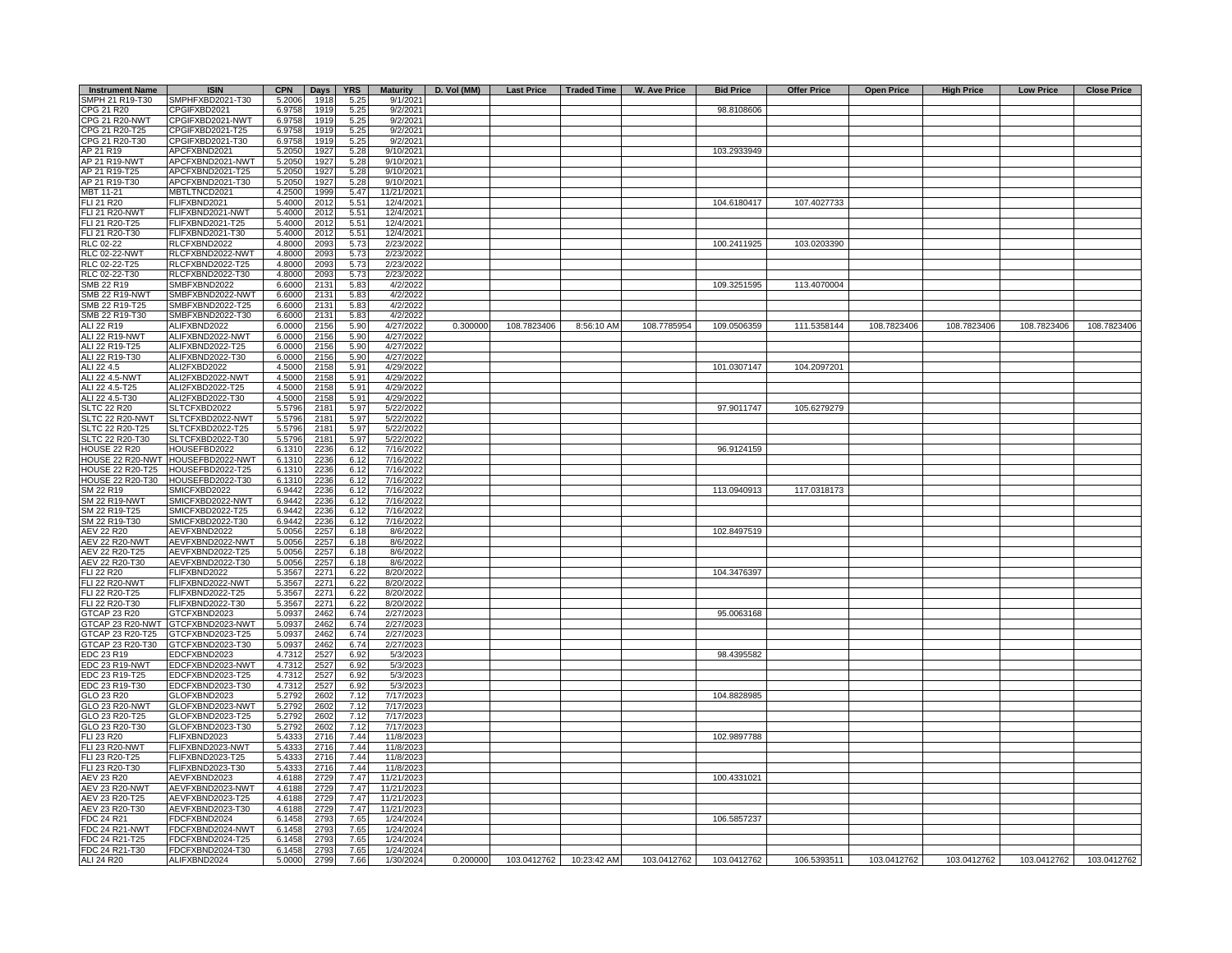| <b>Instrument Name</b>                      | <b>ISIN</b>                          | <b>CPN</b>       | Days         | <b>YRS</b>   | <b>Maturity</b>        | D. Vol (MM) | <b>Last Price</b>                | Traded Time | W. Ave Price | <b>Bid Price</b> | <b>Offer Price</b> | <b>Open Price</b> | <b>High Price</b> | <b>Low Price</b> | <b>Close Price</b>       |
|---------------------------------------------|--------------------------------------|------------------|--------------|--------------|------------------------|-------------|----------------------------------|-------------|--------------|------------------|--------------------|-------------------|-------------------|------------------|--------------------------|
| SMPH 21 R19-T30                             | SMPHFXBD2021-T30                     | 5.2006           | 1918         | 5.25         | 9/1/2021               |             |                                  |             |              |                  |                    |                   |                   |                  |                          |
| CPG 21 R20                                  | CPGIFXBD2021                         | 6.9758           | 1919         | 5.25         | 9/2/2021               |             |                                  |             |              | 98.8108606       |                    |                   |                   |                  |                          |
| CPG 21 R20-NWT                              | CPGIFXBD2021-NWT                     | 6.9758           | 1919         | 5.25         | 9/2/2021               |             |                                  |             |              |                  |                    |                   |                   |                  |                          |
| CPG 21 R20-T25                              | CPGIFXBD2021-T25                     | 6.9758           | 1919         | 5.25         | 9/2/2021               |             |                                  |             |              |                  |                    |                   |                   |                  |                          |
| CPG 21 R20-T30<br>AP 21 R19                 | CPGIFXBD2021-T30                     | 6.9758           | 1919         | 5.25         | 9/2/2021<br>9/10/2021  |             |                                  |             |              | 103.2933949      |                    |                   |                   |                  |                          |
| AP 21 R19-NWT                               | APCFXBND2021<br>APCFXBND2021-NWT     | 5.2050<br>5.2050 | 1927<br>1927 | 5.28<br>5.28 | $\frac{9}{10/2021}$    |             |                                  |             |              |                  |                    |                   |                   |                  |                          |
| AP 21 R19-T25                               | APCFXBND2021-T25                     | 5.2050           | 1927         | 5.28         | 9/10/2021              |             |                                  |             |              |                  |                    |                   |                   |                  |                          |
| AP 21 R19-T30                               | APCFXBND2021-T30                     | 5.2050           | 1927         | 5.28         | 9/10/2021              |             |                                  |             |              |                  |                    |                   |                   |                  |                          |
| MBT 11-21                                   | MBTLTNCD2021                         | 4.2500           | 1999         | 5.47         | 11/21/2021             |             |                                  |             |              |                  |                    |                   |                   |                  |                          |
| FLI 21 R20                                  | FLIFXBND2021                         | 5.4000           | 2012         | 5.51         | 12/4/2021              |             |                                  |             |              | 104.6180417      | 107.4027733        |                   |                   |                  |                          |
| <b>FLI 21 R20-NWT</b>                       | FLIFXBND2021-NWT                     | 5.4000           | 201          | 5.51         | 12/4/2021              |             |                                  |             |              |                  |                    |                   |                   |                  |                          |
| FLI 21 R20-T25                              | FLIFXBND2021-T25                     | 5.4000           | 201          | 5.51         | 12/4/2021              |             |                                  |             |              |                  |                    |                   |                   |                  |                          |
| FLI 21 R20-T30                              | FLIFXBND2021-T30                     | 5.4000           | 2012         | 5.51         | 12/4/2021              |             |                                  |             |              |                  |                    |                   |                   |                  |                          |
| RLC 02-22                                   | RLCFXBND2022                         | 4.8000           | 2093         | 5.73         | 2/23/2022              |             |                                  |             |              | 100.2411925      | 103.0203390        |                   |                   |                  |                          |
| <b>RLC 02-22-NWT</b><br>RLC 02-22-T25       | RLCFXBND2022-NWT<br>RLCFXBND2022-T25 | 4.8000<br>4.8000 | 2093<br>2093 | 5.73<br>5.73 | 2/23/2022<br>2/23/2022 |             |                                  |             |              |                  |                    |                   |                   |                  |                          |
| RLC 02-22-T30                               | RLCFXBND2022-T30                     | 4.8000           | 2093         | 5.73         | 2/23/2022              |             |                                  |             |              |                  |                    |                   |                   |                  |                          |
| SMB 22 R19                                  | SMBFXBND2022                         | 6.6000           | 213'         | 5.83         | 4/2/2022               |             |                                  |             |              | 109.3251595      | 113.4070004        |                   |                   |                  |                          |
| <b>SMB 22 R19-NWT</b>                       | SMBFXBND2022-NWT                     | 6.6000           | 213'         | 5.83         | 4/2/2022               |             |                                  |             |              |                  |                    |                   |                   |                  |                          |
| SMB 22 R19-T25                              | SMBFXBND2022-T25                     | 6.6000           | 213'         | 5.83         | 4/2/2022               |             |                                  |             |              |                  |                    |                   |                   |                  |                          |
| SMB 22 R19-T30                              | SMBFXBND2022-T30                     | 6.6000           | 213          | 5.83         | 4/2/2022               |             |                                  |             |              |                  |                    |                   |                   |                  |                          |
| ALI 22 R19                                  | ALIFXBND2022                         | 6.0000           | 2156         | 5.90         | 4/27/2022              | 0.300000    | 108.7823406                      | 8:56:10 AM  | 108.7785954  | 109.0506359      | 111.5358144        | 108.7823406       | 108.7823406       | 108.7823406      | 108.7823406              |
| <b>ALI 22 R19-NWT</b>                       | ALIFXBND2022-NWT                     | 6.0000           | 2156         | 5.90         | 4/27/2022              |             |                                  |             |              |                  |                    |                   |                   |                  |                          |
| ALI 22 R19-T25                              | ALIFXBND2022-T25                     | 6.0000           | 2156         | 5.90         | 4/27/2022              |             |                                  |             |              |                  |                    |                   |                   |                  |                          |
| ALI 22 R19-T30<br>ALI 22 4.5                | ALIFXBND2022-T30<br>ALI2FXBD2022     | 6.0000<br>4.5000 | 2156<br>2158 | 5.90<br>5.91 | 4/27/2022<br>4/29/2022 |             |                                  |             |              | 101.0307147      | 104.2097201        |                   |                   |                  |                          |
| ALI 22 4.5-NWT                              | ALI2FXBD2022-NWT                     | 4.5000           | 2158         | 5.91         | 4/29/2022              |             |                                  |             |              |                  |                    |                   |                   |                  |                          |
| ALI 22 4.5-T25                              | ALI2FXBD2022-T25                     | 4.5000           | 2158         | 5.91         | 4/29/2022              |             |                                  |             |              |                  |                    |                   |                   |                  |                          |
| ALI 22 4.5-T30                              | ALI2FXBD2022-T30                     | 4.5000           | 2158         | 5.91         | 4/29/2022              |             |                                  |             |              |                  |                    |                   |                   |                  |                          |
| <b>SLTC 22 R20</b>                          | SLTCFXBD2022                         | 5.5796           | 2181         | 5.97         | 5/22/2022              |             |                                  |             |              | 97.9011747       | 105.6279279        |                   |                   |                  |                          |
| SLTC 22 R20-NWT                             | SLTCFXBD2022-NWT                     | 5.5796           | 2181         | 5.97         | 5/22/2022              |             |                                  |             |              |                  |                    |                   |                   |                  |                          |
| SLTC 22 R20-T25                             | SLTCFXBD2022-T25                     | 5.5796           | 2181         | 5.97         | 5/22/2022              |             |                                  |             |              |                  |                    |                   |                   |                  |                          |
| SLTC 22 R20-T30                             | SLTCFXBD2022-T30                     | 5.5796           | 2181         | 5.97         | 5/22/2022              |             |                                  |             |              |                  |                    |                   |                   |                  |                          |
| <b>HOUSE 22 R20</b>                         | HOUSEFBD2022                         | 6.1310           | 2236         | 6.12         | 7/16/2022              |             |                                  |             |              | 96.9124159       |                    |                   |                   |                  |                          |
| HOUSE 22 R20-NWT<br><b>HOUSE 22 R20-T25</b> | HOUSEFBD2022-NWT<br>HOUSEFBD2022-T25 | 6.1310<br>6.1310 | 2236<br>2236 | 6.12<br>6.12 | 7/16/2022<br>7/16/2022 |             |                                  |             |              |                  |                    |                   |                   |                  |                          |
| <b>HOUSE 22 R20-T30</b>                     | HOUSEFBD2022-T30                     | 6.1310           | 2236         | 6.12         | 7/16/2022              |             |                                  |             |              |                  |                    |                   |                   |                  |                          |
| SM 22 R19                                   | SMICFXBD2022                         | 6.9442           | 2236         | 6.12         | 7/16/2022              |             |                                  |             |              | 113.0940913      | 117.0318173        |                   |                   |                  |                          |
| SM 22 R19-NWT                               | SMICFXBD2022-NWT                     | 6.9442           | 2236         | 6.12         | 7/16/2022              |             |                                  |             |              |                  |                    |                   |                   |                  |                          |
| SM 22 R19-T25                               | SMICFXBD2022-T25                     | 6.9442           | 2236         | 6.12         | 7/16/2022              |             |                                  |             |              |                  |                    |                   |                   |                  |                          |
| SM 22 R19-T30                               | SMICFXBD2022-T30                     | 6.9442           | 2236         | 6.12         | 7/16/2022              |             |                                  |             |              |                  |                    |                   |                   |                  |                          |
| AEV 22 R20                                  | AEVFXBND2022                         | 5.0056           | 2257         | 6.18         | 8/6/2022               |             |                                  |             |              | 102.8497519      |                    |                   |                   |                  |                          |
| <b>AEV 22 R20-NWT</b>                       | AEVFXBND2022-NWT                     | 5.0056           | 225          | 6.18         | 8/6/2022               |             |                                  |             |              |                  |                    |                   |                   |                  |                          |
| AEV 22 R20-T25                              | AEVFXBND2022-T25                     | 5.0056           | 2257<br>2257 | 6.18         | 8/6/2022               |             |                                  |             |              |                  |                    |                   |                   |                  |                          |
| AEV 22 R20-T30<br><b>FLI 22 R20</b>         | AEVFXBND2022-T30<br>FLIFXBND2022     | 5.0056<br>5.3567 | 227'         | 6.18<br>6.22 | 8/6/2022<br>8/20/2022  |             |                                  |             |              | 104.3476397      |                    |                   |                   |                  |                          |
| <b>FLI 22 R20-NWT</b>                       | FLIFXBND2022-NWT                     | 5.3567           | 227          | 6.22         | 8/20/2022              |             |                                  |             |              |                  |                    |                   |                   |                  |                          |
| FLI 22 R20-T25                              | FLIFXBND2022-T25                     | 5.3567           | 227          | 6.22         | 8/20/2022              |             |                                  |             |              |                  |                    |                   |                   |                  |                          |
| FLI 22 R20-T30                              | FLIFXBND2022-T30                     | 5.3567           | 227'         | 6.22         | 8/20/2022              |             |                                  |             |              |                  |                    |                   |                   |                  |                          |
| GTCAP 23 R20                                | GTCFXBND2023                         | 5.0937           | 2462         | 6.74         | 2/27/2023              |             |                                  |             |              | 95.0063168       |                    |                   |                   |                  |                          |
| GTCAP 23 R20-NWT                            | GTCFXBND2023-NWT                     | 5.0937           | 2462         | 6.74         | 2/27/2023              |             |                                  |             |              |                  |                    |                   |                   |                  |                          |
| GTCAP 23 R20-T25                            | GTCFXBND2023-T25                     | 5.0937           | 2462         | 6.74         | 2/27/2023              |             |                                  |             |              |                  |                    |                   |                   |                  |                          |
| GTCAP 23 R20-T30                            | GTCFXBND2023-T30                     | 5.0937           | 2462         | 6.74         | 2/27/2023              |             |                                  |             |              |                  |                    |                   |                   |                  |                          |
| EDC 23 R19<br>EDC 23 R19-NWT                | EDCFXBND2023<br>EDCFXBND2023-NWT     | 4.7312<br>4.7312 | 2527         | 6.92<br>6.92 | 5/3/2023<br>5/3/2023   |             |                                  |             |              | 98.4395582       |                    |                   |                   |                  |                          |
| EDC 23 R19-T25                              | EDCFXBND2023-T25                     | 4.7312           | 2527<br>2527 | 6.92         | 5/3/2023               |             |                                  |             |              |                  |                    |                   |                   |                  |                          |
| EDC 23 R19-T30                              | EDCFXBND2023-T30                     | 4.7312           | 2527         | 6.92         | 5/3/2023               |             |                                  |             |              |                  |                    |                   |                   |                  |                          |
| GLO 23 R20                                  | GLOFXBND2023                         | 5.2792           | 2602         | 7.12         | 7/17/2023              |             |                                  |             |              | 104.8828985      |                    |                   |                   |                  |                          |
| GLO 23 R20-NWT                              | GLOFXBND2023-NWT                     | 5.2792           | 2602         | 7.12         | 7/17/2023              |             |                                  |             |              |                  |                    |                   |                   |                  |                          |
| GLO 23 R20-T25                              | GLOFXBND2023-T25                     | 5.2792           | 2602         | 7.12         | 7/17/2023              |             |                                  |             |              |                  |                    |                   |                   |                  |                          |
| GLO 23 R20-T30                              | GLOFXBND2023-T30                     | 5.2792           | 2602         | 7.12         | 7/17/2023              |             |                                  |             |              |                  |                    |                   |                   |                  |                          |
| FLI 23 R20                                  | FLIFXBND2023                         | 5.4333           | 2716         | 7.44         | 11/8/2023              |             |                                  |             |              | 102.9897788      |                    |                   |                   |                  |                          |
| <b>FLI 23 R20-NWT</b><br>FLI 23 R20-T25     | FLIFXBND2023-NWT<br>FLIFXBND2023-T25 | 5.4333<br>5.4333 | 2716<br>2716 | 7.44<br>7.44 | 11/8/2023<br>11/8/2023 |             |                                  |             |              |                  |                    |                   |                   |                  |                          |
| FLI 23 R20-T30                              | -LIFXBND2023-T30                     | 5.4333           | 2716         | 7.44         | 11/8/2023              |             |                                  |             |              |                  |                    |                   |                   |                  |                          |
| AEV 23 R20                                  | AEVFXBND2023                         | 4.6188           | 2729         | 7.47         | 11/21/2023             |             |                                  |             |              | 100.4331021      |                    |                   |                   |                  |                          |
| <b>AEV 23 R20-NWT</b>                       | AEVFXBND2023-NWT                     | 4.618            | 2729         | 7.47         | 11/21/2023             |             |                                  |             |              |                  |                    |                   |                   |                  |                          |
| AEV 23 R20-T25                              | AEVFXBND2023-T25                     | 4.6188           | 2729         | 7.47         | 11/21/2023             |             |                                  |             |              |                  |                    |                   |                   |                  |                          |
| AEV 23 R20-T30                              | AEVFXBND2023-T30                     | 4.6188           | 2729         | 7.47         | 11/21/2023             |             |                                  |             |              |                  |                    |                   |                   |                  |                          |
| FDC 24 R21                                  | FDCFXBND2024                         | 6.1458           | 2793         | 7.65         | 1/24/2024              |             |                                  |             |              | 106.5857237      |                    |                   |                   |                  |                          |
| <b>FDC 24 R21-NWT</b>                       | FDCFXBND2024-NWT                     | 6.1458           | 279          | 7.65         | 1/24/2024              |             |                                  |             |              |                  |                    |                   |                   |                  |                          |
| FDC 24 R21-T25                              | FDCFXBND2024-T25                     | 6.1458           | 2793         | 7.65         | 1/24/2024              |             |                                  |             |              |                  |                    |                   |                   |                  |                          |
| FDC 24 R21-T30<br>ALI 24 R20                | FDCFXBND2024-T30<br>ALIFXBND2024     | 6.1458<br>5.0000 | 2793<br>2799 | 7.65<br>7.66 | 1/24/2024<br>1/30/2024 |             | 0.200000 103.0412762 10:23:42 AM |             | 103.0412762  | 103.0412762      | 106.5393511        | 103.0412762       | 103.0412762       |                  | 103.0412762  103.0412762 |
|                                             |                                      |                  |              |              |                        |             |                                  |             |              |                  |                    |                   |                   |                  |                          |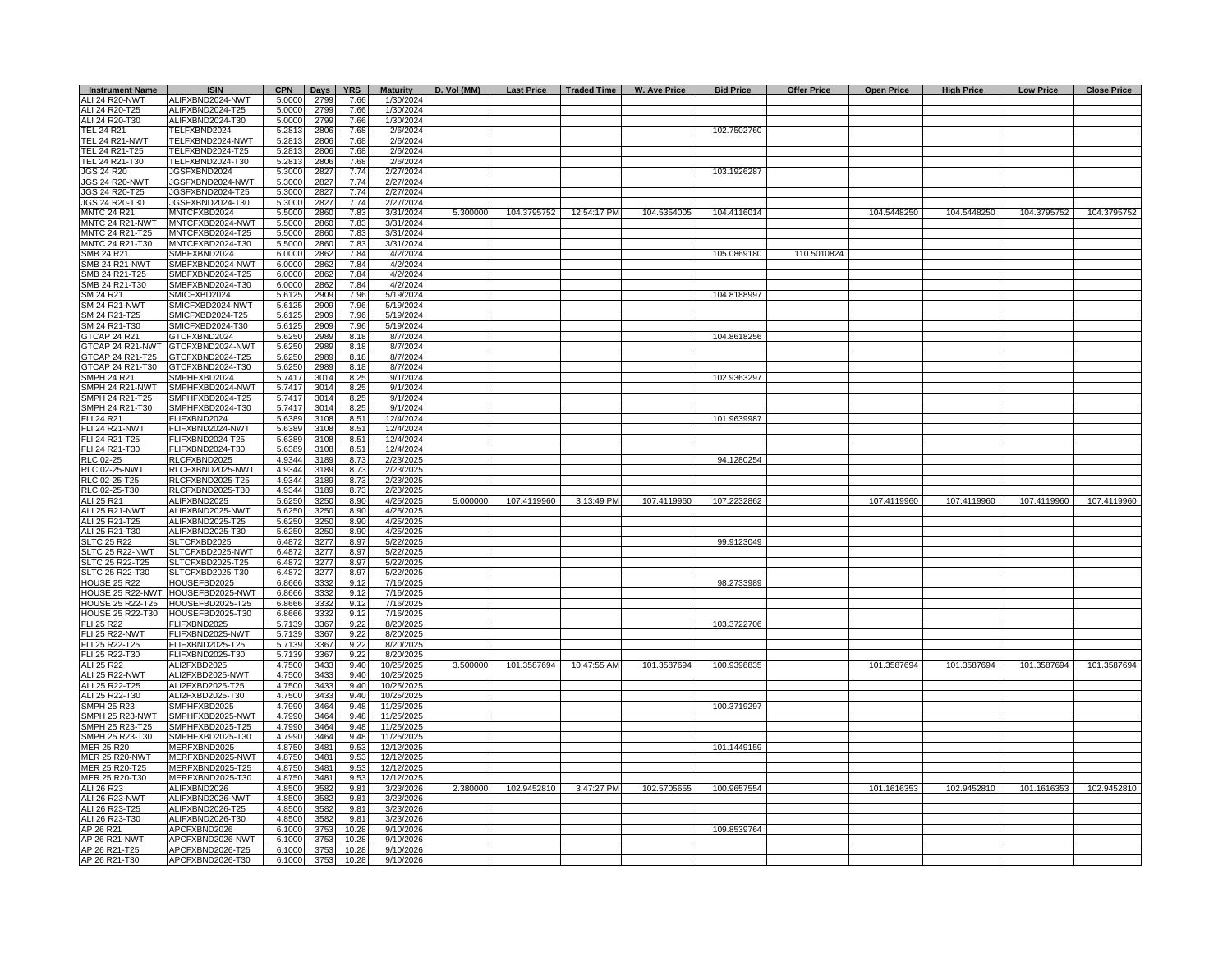| <b>Instrument Name</b>                         | <b>ISIN</b>                          | <b>CPN</b>       | Days         | <b>YRS</b>   | <b>Maturity</b>          | D. Vol (MM) |             |                          | Last Price   Traded Time   W. Ave Price | <b>Bid Price</b> | <b>Offer Price</b> | <b>Open Price</b> | <b>High Price</b> | <b>Low Price</b> | <b>Close Price</b> |
|------------------------------------------------|--------------------------------------|------------------|--------------|--------------|--------------------------|-------------|-------------|--------------------------|-----------------------------------------|------------------|--------------------|-------------------|-------------------|------------------|--------------------|
| <b>ALI 24 R20-NWT</b>                          | ALIFXBND2024-NWT                     | 5.0000           | 2799         | 7.66         | 1/30/2024                |             |             |                          |                                         |                  |                    |                   |                   |                  |                    |
| ALI 24 R20-T25                                 | ALIFXBND2024-T25                     | 5.0000           | 2799         | 7.66         | 1/30/2024                |             |             |                          |                                         |                  |                    |                   |                   |                  |                    |
| ALI 24 R20-T30                                 | ALIFXBND2024-T30                     | 5.0000           | 2799         | 7.66         | 1/30/2024                |             |             |                          |                                         | 102.7502760      |                    |                   |                   |                  |                    |
| TEL 24 R21<br><b>TEL 24 R21-NWT</b>            | TELFXBND2024<br>TELFXBND2024-NWT     | 5.2813<br>5.2813 | 2806<br>2806 | 7.68<br>7.68 | 2/6/2024<br>2/6/2024     |             |             |                          |                                         |                  |                    |                   |                   |                  |                    |
| TEL 24 R21-T25                                 | TELFXBND2024-T25                     | 5.2813           | 2806         | 7.68         | 2/6/2024                 |             |             |                          |                                         |                  |                    |                   |                   |                  |                    |
| TEL 24 R21-T30                                 | TELFXBND2024-T30                     | 5.2813           | 2806         | 7.68         | 2/6/2024                 |             |             |                          |                                         |                  |                    |                   |                   |                  |                    |
| JGS 24 R20                                     | JGSFXBND2024                         | 5.3000           | 282          | 7.74         | 2/27/2024                |             |             |                          |                                         | 103.1926287      |                    |                   |                   |                  |                    |
| <b>JGS 24 R20-NWT</b>                          | JGSFXBND2024-NWT                     | 5.3000           | 2827         | 7.74         | 2/27/2024                |             |             |                          |                                         |                  |                    |                   |                   |                  |                    |
| JGS 24 R20-T25                                 | JGSFXBND2024-T25                     | 5.3000           | 2827         | 7.74         | 2/27/2024                |             |             |                          |                                         |                  |                    |                   |                   |                  |                    |
| JGS 24 R20-T30                                 | JGSFXBND2024-T30                     | 5.3000           | 2827         | 7.74         | 2/27/2024                |             |             |                          |                                         |                  |                    |                   |                   |                  |                    |
| <b>MNTC 24 R21</b>                             | MNTCFXBD2024                         | 5.5000           | 2860         | 7.83         | 3/31/2024                | 5.300000    |             | 104.3795752  12:54:17 PM | 104.5354005                             | 104.4116014      |                    | 104.5448250       | 104.5448250       | 104.3795752      | 104.3795752        |
| MNTC 24 R21-NWT<br>MNTC 24 R21-T25             | MNTCFXBD2024-NWT<br>MNTCFXBD2024-T25 | 5.5000<br>5.5000 | 2860<br>2860 | 7.83<br>7.83 | 3/31/2024<br>3/31/2024   |             |             |                          |                                         |                  |                    |                   |                   |                  |                    |
| MNTC 24 R21-T30                                | MNTCFXBD2024-T30                     | 5.5000           | 2860         | 7.83         | 3/31/2024                |             |             |                          |                                         |                  |                    |                   |                   |                  |                    |
| SMB 24 R21                                     | <b>SMBFXBND2024</b>                  | 6.0000           | 2862         | 7.84         | 4/2/2024                 |             |             |                          |                                         | 105.0869180      | 110.5010824        |                   |                   |                  |                    |
| SMB 24 R21-NWT                                 | SMBFXBND2024-NWT                     | 6.000            | 2862         | 7.84         | 4/2/2024                 |             |             |                          |                                         |                  |                    |                   |                   |                  |                    |
| SMB 24 R21-T25                                 | SMBFXBND2024-T25                     | 6.000            | 2862         | 7.84         | 4/2/2024                 |             |             |                          |                                         |                  |                    |                   |                   |                  |                    |
| SMB 24 R21-T30                                 | SMBFXBND2024-T30                     | 6.0000           | 2862         | 7.84         | 4/2/2024                 |             |             |                          |                                         |                  |                    |                   |                   |                  |                    |
| SM 24 R21                                      | SMICFXBD2024                         | 5.612            | 2909         | 7.96         | 5/19/2024                |             |             |                          |                                         | 104.8188997      |                    |                   |                   |                  |                    |
| <b>SM 24 R21-NWT</b>                           | SMICFXBD2024-NWT                     | 5.612            | 2909         | 7.96         | 5/19/2024                |             |             |                          |                                         |                  |                    |                   |                   |                  |                    |
| SM 24 R21-T25                                  | SMICFXBD2024-T25                     | 5.612            | 2909         | 7.96         | 5/19/2024                |             |             |                          |                                         |                  |                    |                   |                   |                  |                    |
| SM 24 R21-T30                                  | SMICFXBD2024-T30                     | 5.6125           | 2909         | 7.96         | 5/19/2024                |             |             |                          |                                         |                  |                    |                   |                   |                  |                    |
| <b>GTCAP 24 R21</b>                            | GTCFXBND2024                         | 5.625            | 2989         | 8.18         | 8/7/2024                 |             |             |                          |                                         | 104.8618256      |                    |                   |                   |                  |                    |
|                                                | GTCAP 24 R21-NWT GTCFXBND2024-NWT    | 5.6250           | 2989         | 8.18         | 8/7/2024                 |             |             |                          |                                         |                  |                    |                   |                   |                  |                    |
| GTCAP 24 R21-T25<br>GTCAP 24 R21-T30           | GTCFXBND2024-T25<br>GTCFXBND2024-T30 | 5.6250<br>5.6250 | 2989<br>2989 | 8.18<br>8.18 | 8/7/2024<br>8/7/2024     |             |             |                          |                                         |                  |                    |                   |                   |                  |                    |
| SMPH 24 R21                                    | SMPHFXBD2024                         | 5.7417           | 3014         | 8.25         | 9/1/2024                 |             |             |                          |                                         | 102.9363297      |                    |                   |                   |                  |                    |
| SMPH 24 R21-NWT                                | SMPHFXBD2024-NWT                     | 5.7417           | 3014         | 8.25         | 9/1/2024                 |             |             |                          |                                         |                  |                    |                   |                   |                  |                    |
| <b>SMPH 24 R21-T25</b>                         | MPHFXBD2024-T25                      | 5.7417           | 3014         | 8.25         | 9/1/2024                 |             |             |                          |                                         |                  |                    |                   |                   |                  |                    |
| SMPH 24 R21-T30                                | SMPHFXBD2024-T30                     | 5.7417           | 3014         | 8.25         | 9/1/2024                 |             |             |                          |                                         |                  |                    |                   |                   |                  |                    |
| <b>LI 24 R21</b>                               | FLIFXBND2024                         | 5.6389           | 3108         | 8.51         | 12/4/2024                |             |             |                          |                                         | 101.9639987      |                    |                   |                   |                  |                    |
| FLI 24 R21-NWT                                 | FLIFXBND2024-NWT                     | 5.6389           | 3108         | 8.51         | 12/4/2024                |             |             |                          |                                         |                  |                    |                   |                   |                  |                    |
| FLI 24 R21-T25                                 | FLIFXBND2024-T25                     | 5.638            | 3108         | 8.51         | 12/4/2024                |             |             |                          |                                         |                  |                    |                   |                   |                  |                    |
| <b>LI 24 R21-T30</b>                           | FLIFXBND2024-T30                     | 5.638            | 3108         | 8.51         | 12/4/2024                |             |             |                          |                                         |                  |                    |                   |                   |                  |                    |
| RLC 02-25                                      | RLCFXBND2025                         | 4.9344           | 3189         | 8.73         | 2/23/2025                |             |             |                          |                                         | 94.1280254       |                    |                   |                   |                  |                    |
| <b>RLC 02-25-NWT</b>                           | RLCFXBND2025-NWT                     | 4.9344<br>4.9344 | 3189         | 8.73<br>8.73 | 2/23/2025                |             |             |                          |                                         |                  |                    |                   |                   |                  |                    |
| RLC 02-25-T25<br>RLC 02-25-T30                 | RLCFXBND2025-T25<br>RLCFXBND2025-T30 | 4.9344           | 3189<br>3189 | 8.73         | 2/23/2025<br>2/23/2025   |             |             |                          |                                         |                  |                    |                   |                   |                  |                    |
| ALI 25 R21                                     | ALIFXBND2025                         | 5.6250           | 3250         | 8.90         | 4/25/2025                | 5.000000    | 107.4119960 | 3:13:49 PM               | 107.4119960                             | 107.2232862      |                    | 107.4119960       | 107.4119960       | 107.4119960      | 107.4119960        |
| ALI 25 R21-NWT                                 | ALIFXBND2025-NWT                     | 5.6250           | 3250         | 8.90         | 4/25/2025                |             |             |                          |                                         |                  |                    |                   |                   |                  |                    |
| ALI 25 R21-T25                                 | ALIFXBND2025-T25                     | 5.6250           | 3250         | 8.90         | 4/25/2025                |             |             |                          |                                         |                  |                    |                   |                   |                  |                    |
| ALI 25 R21-T30                                 | ALIFXBND2025-T30                     | 5.6250           | 3250         | 8.90         | 4/25/2025                |             |             |                          |                                         |                  |                    |                   |                   |                  |                    |
| <b>SLTC 25 R22</b>                             | SLTCFXBD2025                         | 6.4872           | 3277         | 8.97         | 5/22/2025                |             |             |                          |                                         | 99.9123049       |                    |                   |                   |                  |                    |
| SLTC 25 R22-NWT                                | SLTCFXBD2025-NWT                     | 6.4872           | 3277         | 8.97         | 5/22/2025                |             |             |                          |                                         |                  |                    |                   |                   |                  |                    |
| SLTC 25 R22-T25                                | SLTCFXBD2025-T25                     | 6.4872           | 3277         | 8.97         | 5/22/2025                |             |             |                          |                                         |                  |                    |                   |                   |                  |                    |
| SLTC 25 R22-T30                                | SLTCFXBD2025-T30                     | 6.4872           | 3277         | 8.97         | 5/22/2025                |             |             |                          |                                         |                  |                    |                   |                   |                  |                    |
| <b>HOUSE 25 R22</b><br><b>HOUSE 25 R22-NWT</b> | HOUSEFBD2025<br>HOUSEFBD2025-NWT     | 6.8666           | 333<br>3332  | 9.12<br>9.12 | 7/16/2025<br>7/16/2025   |             |             |                          |                                         | 98.2733989       |                    |                   |                   |                  |                    |
| <b>IOUSE 25 R22-T25</b>                        | HOUSEFBD2025-T25                     | 6.8666<br>6.8666 | 3332         | 9.12         | 7/16/2025                |             |             |                          |                                         |                  |                    |                   |                   |                  |                    |
| <b>IOUSE 25 R22-T30</b>                        | HOUSEFBD2025-T30                     | 6.8666           | 3332         | 9.12         | 7/16/2025                |             |             |                          |                                         |                  |                    |                   |                   |                  |                    |
| ELI 25 R22                                     | FLIFXBND2025                         | 5.7139           | 3367         | 9.22         | 8/20/2025                |             |             |                          |                                         | 103.3722706      |                    |                   |                   |                  |                    |
| <b>FLI 25 R22-NWT</b>                          | FLIFXBND2025-NWT                     | 5.7139           | 3367         | 9.22         | 8/20/2025                |             |             |                          |                                         |                  |                    |                   |                   |                  |                    |
| FLI 25 R22-T25                                 | FLIFXBND2025-T25                     | 5.7139           | 3367         | 9.22         | 8/20/2025                |             |             |                          |                                         |                  |                    |                   |                   |                  |                    |
| FLI 25 R22-T30                                 | FLIFXBND2025-T30                     | 5.7139           | 3367         | 9.22         | 8/20/2025                |             |             |                          |                                         |                  |                    |                   |                   |                  |                    |
| ALI 25 R22                                     | ALI2FXBD2025                         | 4.7500           | 3433         | 9.40         | 10/25/2025               | 3.500000    | 101.3587694 | 10:47:55 AM              | 101.3587694                             | 100.9398835      |                    | 101.3587694       | 101.3587694       | 101.3587694      | 101.3587694        |
| ALI 25 R22-NWT                                 | ALI2FXBD2025-NWT                     | 4.7500           | 3433         | 9.40         | 10/25/2025               |             |             |                          |                                         |                  |                    |                   |                   |                  |                    |
| ALI 25 R22-T25                                 | ALI2FXBD2025-T25                     | 4.7500           | 3433         | 9.40<br>9.40 | 10/25/2025               |             |             |                          |                                         |                  |                    |                   |                   |                  |                    |
| ALI 25 R22-T30<br><b>SMPH 25 R23</b>           | ALI2FXBD2025-T30<br>SMPHFXBD2025     | 4.7500<br>4.7990 | 3433<br>3464 | 9.48         | 10/25/2025<br>11/25/2025 |             |             |                          |                                         | 100.3719297      |                    |                   |                   |                  |                    |
| SMPH 25 R23-NWT                                | SMPHFXBD2025-NWT                     | 4.7990           | 3464         | 9.48         | 11/25/2025               |             |             |                          |                                         |                  |                    |                   |                   |                  |                    |
| SMPH 25 R23-T25                                | SMPHFXBD2025-T25                     | 4.7990           | 3464         | 9.48         | 11/25/2025               |             |             |                          |                                         |                  |                    |                   |                   |                  |                    |
| SMPH 25 R23-T30                                | SMPHFXBD2025-T30                     | 4.7990           | 3464         | 9.48         | 11/25/2025               |             |             |                          |                                         |                  |                    |                   |                   |                  |                    |
| <b>JER 25 R20</b>                              | MERFXBND2025                         | 4.8750           | 3481         | 9.53         | 12/12/2025               |             |             |                          |                                         | 101.1449159      |                    |                   |                   |                  |                    |
| <b>MER 25 R20-NWT</b>                          | MERFXBND2025-NWT                     | 4.8750           | 3481         | 9.53         | 12/12/2025               |             |             |                          |                                         |                  |                    |                   |                   |                  |                    |
| MER 25 R20-T25                                 | MERFXBND2025-T25                     | 4.8750           | 3481         | 9.53         | 12/12/2025               |             |             |                          |                                         |                  |                    |                   |                   |                  |                    |
| MER 25 R20-T30                                 | MERFXBND2025-T30                     | 4.8750           | 3481         | 9.53         | 12/12/2025               |             |             |                          |                                         |                  |                    |                   |                   |                  |                    |
| ALI 26 R23                                     | ALIFXBND2026                         | 4.8500           | 3582         | 9.81         | 3/23/2026                | 2.380000    | 102.9452810 | 3:47:27 PM               | 102.5705655                             | 100.9657554      |                    | 101.1616353       | 102.9452810       | 101.1616353      | 102.9452810        |
| ALI 26 R23-NWT                                 | ALIFXBND2026-NWT                     | 4.8500           | 3582         | 9.81         | 3/23/2026                |             |             |                          |                                         |                  |                    |                   |                   |                  |                    |
| ALI 26 R23-T25<br>ALI 26 R23-T30               | ALIFXBND2026-T25                     | 4.8500           | 3582<br>3582 | 9.81<br>9.81 | 3/23/2026                |             |             |                          |                                         |                  |                    |                   |                   |                  |                    |
| AP 26 R21                                      | ALIFXBND2026-T30<br>APCFXBND2026     | 4.8500<br>6.1000 | 3753         | 10.28        | 3/23/2026<br>9/10/2026   |             |             |                          |                                         | 109.8539764      |                    |                   |                   |                  |                    |
| AP 26 R21-NWT                                  | APCFXBND2026-NWT                     | 6.100            | 375          | 10.28        | 9/10/2026                |             |             |                          |                                         |                  |                    |                   |                   |                  |                    |
| AP 26 R21-T25                                  | APCFXBND2026-T25                     | 6.1000           | 3753         | 10.28        | 9/10/2026                |             |             |                          |                                         |                  |                    |                   |                   |                  |                    |
| AP 26 R21-T30                                  | APCFXBND2026-T30                     | 6.1000           | 3753         | 10.28        | 9/10/2026                |             |             |                          |                                         |                  |                    |                   |                   |                  |                    |
|                                                |                                      |                  |              |              |                          |             |             |                          |                                         |                  |                    |                   |                   |                  |                    |